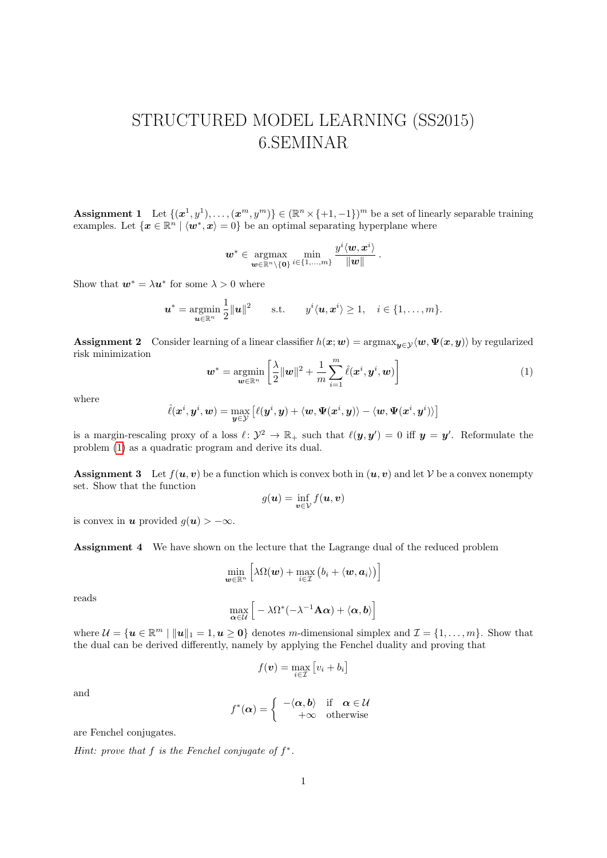## STRUCTURED MODEL LEARNING (SS2015) 6.SEMINAR

**Assignment 1** Let  $\{(x^1, y^1), \ldots, (x^m, y^m)\} \in (\mathbb{R}^n \times \{+1, -1\})^m$  be a set of linearly separable training examples. Let  $\{x \in \mathbb{R}^n \mid \langle w^*, x \rangle = 0\}$  be an optimal separating hyperplane where

$$
\bm{w}^* \in \operatornamewithlimits{argmax}_{\bm{w} \in \mathbb{R}^n \setminus \{\bm{0}\}} \min_{i \in \{1,...,m\}} \frac{y^i \langle \bm{w}, \bm{x}^i \rangle}{\|\bm{w}\|} \,.
$$

Show that  $w^* = \lambda u^*$  for some  $\lambda > 0$  where

$$
\boldsymbol{u}^* = \operatorname*{argmin}_{\boldsymbol{u} \in \mathbb{R}^n} \frac{1}{2} \|\boldsymbol{u}\|^2 \qquad \text{s.t.} \qquad y^i \langle \boldsymbol{u}, \boldsymbol{x}^i \rangle \geq 1, \quad i \in \{1, \dots, m\}.
$$

**Assignment 2** Consider learning of a linear classifier  $h(x; w) = \argmax_{u \in \mathcal{V}} \langle w, \Psi(x, y) \rangle$  by regularized risk minimization

<span id="page-0-0"></span>
$$
\boldsymbol{w}^* = \operatorname*{argmin}_{\boldsymbol{w} \in \mathbb{R}^n} \left[ \frac{\lambda}{2} ||\boldsymbol{w}||^2 + \frac{1}{m} \sum_{i=1}^m \hat{\ell}(\boldsymbol{x}^i, \boldsymbol{y}^i, \boldsymbol{w}) \right]
$$
(1)

where

$$
\hat{\ell}(\boldsymbol{x}^{i},\boldsymbol{y}^{i},\boldsymbol{w})=\max_{\boldsymbol{y}\in\mathcal{Y}}\left[\ell(\boldsymbol{y}^{i},\boldsymbol{y})+\langle\boldsymbol{w},\boldsymbol{\Psi}(\boldsymbol{x}^{i},\boldsymbol{y})\rangle-\langle\boldsymbol{w},\boldsymbol{\Psi}(\boldsymbol{x}^{i},\boldsymbol{y}^{i})\rangle\right]
$$

is a margin-rescaling proxy of a loss  $\ell: \mathcal{Y}^2 \to \mathbb{R}_+$  such that  $\ell(\mathbf{y}, \mathbf{y}') = 0$  iff  $\mathbf{y} = \mathbf{y}'$ . Reformulate the problem [\(1\)](#page-0-0) as a quadratic program and derive its dual.

**Assignment 3** Let  $f(u, v)$  be a function which is convex both in  $(u, v)$  and let V be a convex nonempty set. Show that the function

$$
g(\boldsymbol{u}) = \inf_{\boldsymbol{v}\in\mathcal{V}} f(\boldsymbol{u}, \boldsymbol{v})
$$

is convex in **u** provided  $g(\mathbf{u}) > -\infty$ .

Assignment 4 We have shown on the lecture that the Lagrange dual of the reduced problem

$$
\min_{\bm{w}\in\mathbb{R}^n}\Big[\lambda\Omega(\bm{w})+\max_{i\in\mathcal{I}}\big(b_i+\langle\bm{w},\bm{a}_i\rangle\big)\Big]
$$

reads

$$
\max_{\alpha \in \mathcal{U}} \left[ -\lambda \Omega^*(-\lambda^{-1} \mathbf{A} \alpha) + \langle \alpha, \mathbf{b} \rangle \right]
$$

where  $\mathcal{U} = \{ \mathbf{u} \in \mathbb{R}^m \mid ||\mathbf{u}||_1 = 1, \mathbf{u} \geq \mathbf{0} \}$  denotes m-dimensional simplex and  $\mathcal{I} = \{1, \ldots, m\}$ . Show that the dual can be derived differently, namely by applying the Fenchel duality and proving that

$$
f(\boldsymbol{v}) = \max_{i \in \mathcal{I}} \left[ v_i + b_i \right]
$$

and

$$
f^*(\alpha) = \begin{cases} -\langle \alpha, b \rangle & \text{if } \alpha \in \mathcal{U} \\ +\infty & \text{otherwise} \end{cases}
$$

are Fenchel conjugates.

Hint: prove that  $f$  is the Fenchel conjugate of  $f^*$ .